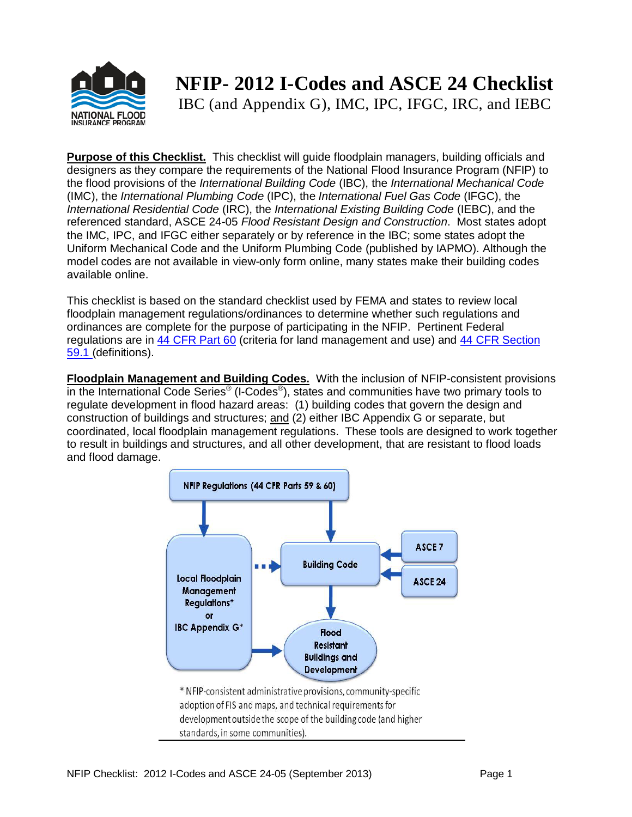

## **NFIP- 2012 I-Codes and ASCE 24 Checklist**

IBC (and Appendix G), IMC, IPC, IFGC, IRC, and IEBC

**Purpose of this Checklist.** This checklist will guide floodplain managers, building officials and designers as they compare the requirements of the National Flood Insurance Program (NFIP) to the flood provisions of the *International Building Code* (IBC), the *International Mechanical Code* (IMC), the *International Plumbing Code* (IPC), the *International Fuel Gas Code* (IFGC), the *International Residential Code* (IRC), the *International Existing Building Code* (IEBC), and the referenced standard, ASCE 24-05 *Flood Resistant Design and Construction*. Most states adopt the IMC, IPC, and IFGC either separately or by reference in the IBC; some states adopt the Uniform Mechanical Code and the Uniform Plumbing Code (published by IAPMO). Although the model codes are not available in view-only form online, many states make their building codes available online.

This checklist is based on the standard checklist used by FEMA and states to review local floodplain management regulations/ordinances to determine whether such regulations and ordinances are complete for the purpose of participating in the NFIP. Pertinent Federal regulations are in [44 CFR Part 60](http://www.gpo.gov/fdsys/pkg/CFR-2002-title44-vol1/xml/CFR-2002-title44-vol1-part60-subpartA.xml) (criteria for land management and use) and [44 CFR Section](http://www.gpo.gov/fdsys/pkg/CFR-2002-title44-vol1/xml/CFR-2002-title44-vol1-sec59-1.xml)  [59.1](http://www.gpo.gov/fdsys/pkg/CFR-2002-title44-vol1/xml/CFR-2002-title44-vol1-sec59-1.xml) (definitions).

**Floodplain Management and Building Codes.** With the inclusion of NFIP-consistent provisions in the International Code Series<sup>®</sup> (I-Codes<sup>®</sup>), states and communities have two primary tools to regulate development in flood hazard areas: (1) building codes that govern the design and construction of buildings and structures; and (2) either IBC Appendix G or separate, but coordinated, local floodplain management regulations. These tools are designed to work together to result in buildings and structures, and all other development, that are resistant to flood loads and flood damage.

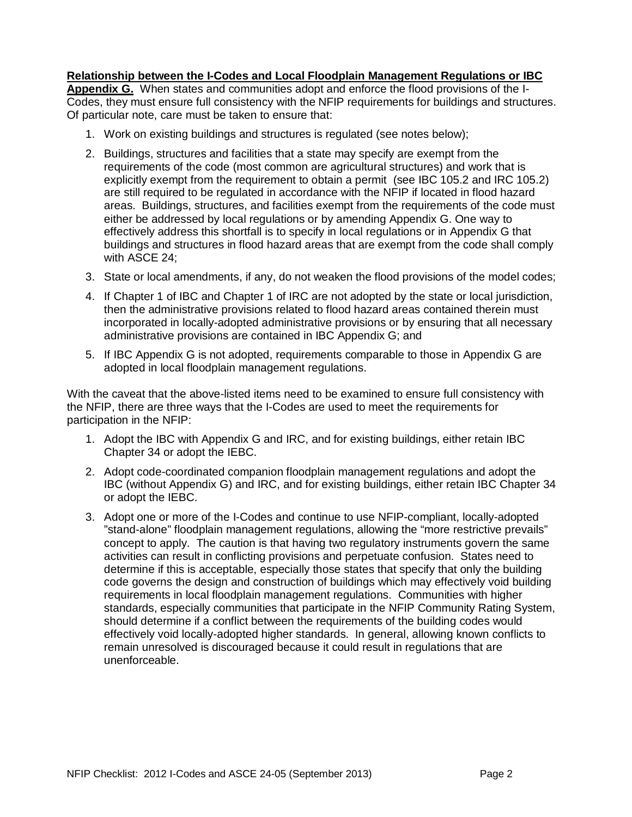## **Relationship between the I-Codes and Local Floodplain Management Regulations or IBC**

**Appendix G.** When states and communities adopt and enforce the flood provisions of the I-Codes, they must ensure full consistency with the NFIP requirements for buildings and structures. Of particular note, care must be taken to ensure that:

- 1. Work on existing buildings and structures is regulated (see notes below);
- 2. Buildings, structures and facilities that a state may specify are exempt from the requirements of the code (most common are agricultural structures) and work that is explicitly exempt from the requirement to obtain a permit (see IBC 105.2 and IRC 105.2) are still required to be regulated in accordance with the NFIP if located in flood hazard areas. Buildings, structures, and facilities exempt from the requirements of the code must either be addressed by local regulations or by amending Appendix G. One way to effectively address this shortfall is to specify in local regulations or in Appendix G that buildings and structures in flood hazard areas that are exempt from the code shall comply with ASCE 24;
- 3. State or local amendments, if any, do not weaken the flood provisions of the model codes;
- 4. If Chapter 1 of IBC and Chapter 1 of IRC are not adopted by the state or local jurisdiction, then the administrative provisions related to flood hazard areas contained therein must incorporated in locally-adopted administrative provisions or by ensuring that all necessary administrative provisions are contained in IBC Appendix G; and
- 5. If IBC Appendix G is not adopted, requirements comparable to those in Appendix G are adopted in local floodplain management regulations.

With the caveat that the above-listed items need to be examined to ensure full consistency with the NFIP, there are three ways that the I-Codes are used to meet the requirements for participation in the NFIP:

- 1. Adopt the IBC with Appendix G and IRC, and for existing buildings, either retain IBC Chapter 34 or adopt the IEBC.
- 2. Adopt code-coordinated companion floodplain management regulations and adopt the IBC (without Appendix G) and IRC, and for existing buildings, either retain IBC Chapter 34 or adopt the IEBC.
- 3. Adopt one or more of the I-Codes and continue to use NFIP-compliant, locally-adopted "stand-alone" floodplain management regulations, allowing the "more restrictive prevails" concept to apply. The caution is that having two regulatory instruments govern the same activities can result in conflicting provisions and perpetuate confusion. States need to determine if this is acceptable, especially those states that specify that only the building code governs the design and construction of buildings which may effectively void building requirements in local floodplain management regulations. Communities with higher standards, especially communities that participate in the NFIP Community Rating System, should determine if a conflict between the requirements of the building codes would effectively void locally-adopted higher standards. In general, allowing known conflicts to remain unresolved is discouraged because it could result in regulations that are unenforceable.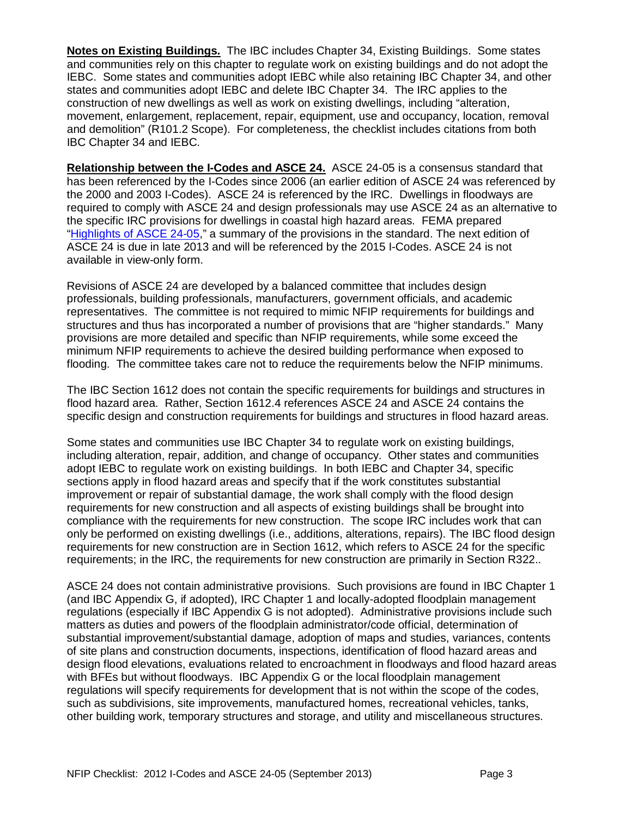**Notes on Existing Buildings.** The IBC includes Chapter 34, Existing Buildings. Some states and communities rely on this chapter to regulate work on existing buildings and do not adopt the IEBC. Some states and communities adopt IEBC while also retaining IBC Chapter 34, and other states and communities adopt IEBC and delete IBC Chapter 34. The IRC applies to the construction of new dwellings as well as work on existing dwellings, including "alteration, movement, enlargement, replacement, repair, equipment, use and occupancy, location, removal and demolition" (R101.2 Scope). For completeness, the checklist includes citations from both IBC Chapter 34 and IEBC.

**Relationship between the I-Codes and ASCE 24.** ASCE 24-05 is a consensus standard that has been referenced by the I-Codes since 2006 (an earlier edition of ASCE 24 was referenced by the 2000 and 2003 I-Codes). ASCE 24 is referenced by the IRC. Dwellings in floodways are required to comply with ASCE 24 and design professionals may use ASCE 24 as an alternative to the specific IRC provisions for dwellings in coastal high hazard areas. FEMA prepared ["Highlights of ASCE 24-05,](http://www.fema.gov/library/viewRecord.do?id=3515)" a summary of the provisions in the standard. The next edition of ASCE 24 is due in late 2013 and will be referenced by the 2015 I-Codes. ASCE 24 is not available in view-only form.

Revisions of ASCE 24 are developed by a balanced committee that includes design professionals, building professionals, manufacturers, government officials, and academic representatives. The committee is not required to mimic NFIP requirements for buildings and structures and thus has incorporated a number of provisions that are "higher standards." Many provisions are more detailed and specific than NFIP requirements, while some exceed the minimum NFIP requirements to achieve the desired building performance when exposed to flooding. The committee takes care not to reduce the requirements below the NFIP minimums.

The IBC Section 1612 does not contain the specific requirements for buildings and structures in flood hazard area. Rather, Section 1612.4 references ASCE 24 and ASCE 24 contains the specific design and construction requirements for buildings and structures in flood hazard areas.

Some states and communities use IBC Chapter 34 to regulate work on existing buildings, including alteration, repair, addition, and change of occupancy. Other states and communities adopt IEBC to regulate work on existing buildings. In both IEBC and Chapter 34, specific sections apply in flood hazard areas and specify that if the work constitutes substantial improvement or repair of substantial damage, the work shall comply with the flood design requirements for new construction and all aspects of existing buildings shall be brought into compliance with the requirements for new construction. The scope IRC includes work that can only be performed on existing dwellings (i.e., additions, alterations, repairs). The IBC flood design requirements for new construction are in Section 1612, which refers to ASCE 24 for the specific requirements; in the IRC, the requirements for new construction are primarily in Section R322..

ASCE 24 does not contain administrative provisions. Such provisions are found in IBC Chapter 1 (and IBC Appendix G, if adopted), IRC Chapter 1 and locally-adopted floodplain management regulations (especially if IBC Appendix G is not adopted). Administrative provisions include such matters as duties and powers of the floodplain administrator/code official, determination of substantial improvement/substantial damage, adoption of maps and studies, variances, contents of site plans and construction documents, inspections, identification of flood hazard areas and design flood elevations, evaluations related to encroachment in floodways and flood hazard areas with BFEs but without floodways. IBC Appendix G or the local floodplain management regulations will specify requirements for development that is not within the scope of the codes, such as subdivisions, site improvements, manufactured homes, recreational vehicles, tanks, other building work, temporary structures and storage, and utility and miscellaneous structures.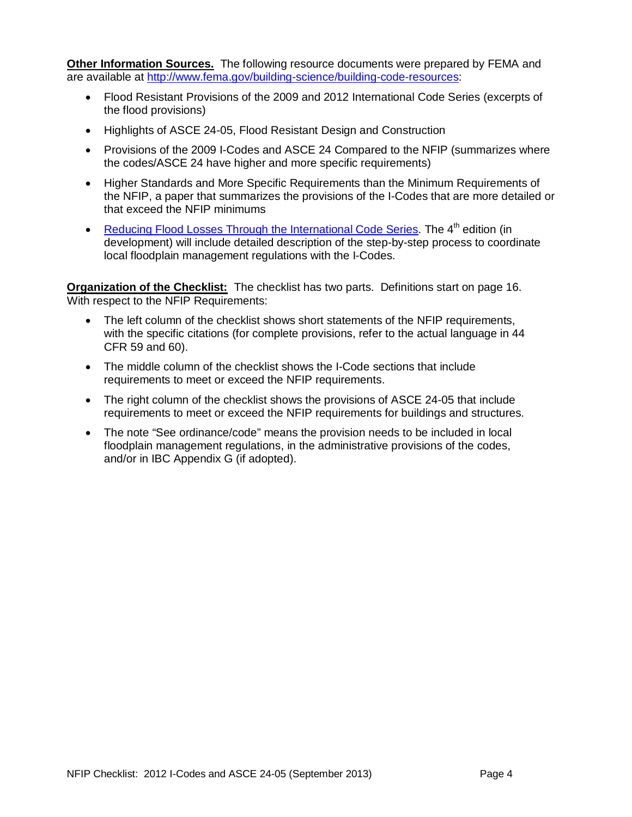**Other Information Sources.** The following resource documents were prepared by FEMA and are available at [http://www.fema.gov/building-science/building-code-resources:](http://www.fema.gov/building-science/building-code-resources)

- Flood Resistant Provisions of the 2009 and 2012 International Code Series (excerpts of the flood provisions)
- Highlights of ASCE 24-05, Flood Resistant Design and Construction
- Provisions of the 2009 I-Codes and ASCE 24 Compared to the NFIP (summarizes where the codes/ASCE 24 have higher and more specific requirements)
- Higher Standards and More Specific Requirements than the Minimum Requirements of the NFIP, a paper that summarizes the provisions of the I-Codes that are more detailed or that exceed the NFIP minimums
- [Reducing Flood Losses Through the International Code Series.](http://www.fema.gov/library/viewRecord.do?id=2094) The  $4<sup>th</sup>$  edition (in development) will include detailed description of the step-by-step process to coordinate local floodplain management regulations with the I-Codes.

**Organization of the Checklist:** The checklist has two parts. Definitions start on page 16. With respect to the NFIP Requirements:

- The left column of the checklist shows short statements of the NFIP requirements, with the specific citations (for complete provisions, refer to the actual language in 44 CFR 59 and 60).
- The middle column of the checklist shows the I-Code sections that include requirements to meet or exceed the NFIP requirements.
- The right column of the checklist shows the provisions of ASCE 24-05 that include requirements to meet or exceed the NFIP requirements for buildings and structures.
- The note "See ordinance/code" means the provision needs to be included in local floodplain management regulations, in the administrative provisions of the codes, and/or in IBC Appendix G (if adopted).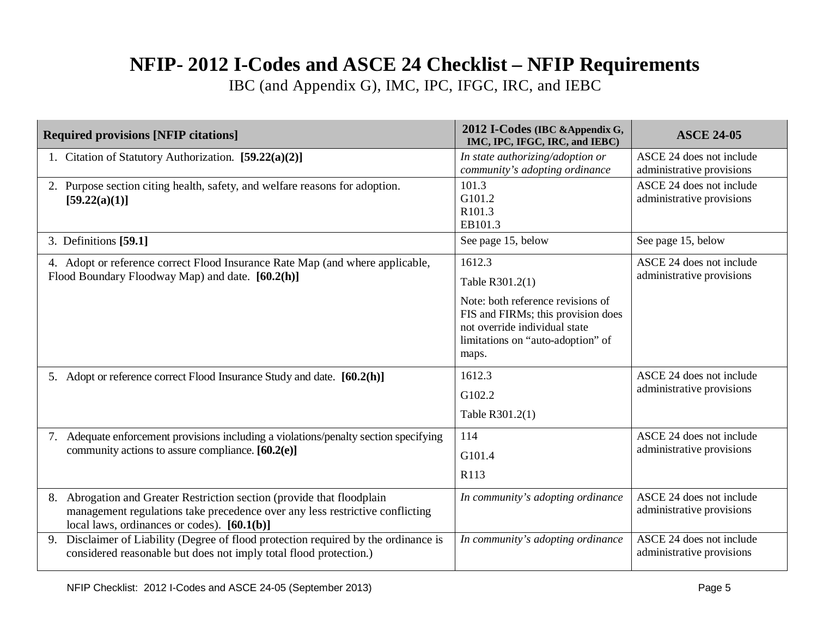## **NFIP- 2012 I-Codes and ASCE 24 Checklist – NFIP Requirements**

IBC (and Appendix G), IMC, IPC, IFGC, IRC, and IEBC

| <b>Required provisions [NFIP citations]</b>                                                                                                                                                                | 2012 I-Codes (IBC & Appendix G,<br>IMC, IPC, IFGC, IRC, and IEBC)                                                                                                                   | <b>ASCE 24-05</b>                                     |
|------------------------------------------------------------------------------------------------------------------------------------------------------------------------------------------------------------|-------------------------------------------------------------------------------------------------------------------------------------------------------------------------------------|-------------------------------------------------------|
| 1. Citation of Statutory Authorization. [59.22(a)(2)]                                                                                                                                                      | In state authorizing/adoption or<br>community's adopting ordinance                                                                                                                  | ASCE 24 does not include<br>administrative provisions |
| Purpose section citing health, safety, and welfare reasons for adoption.<br>2.<br>[59.22(a)(1)]                                                                                                            | 101.3<br>G101.2<br>R <sub>101.3</sub><br>EB101.3                                                                                                                                    | ASCE 24 does not include<br>administrative provisions |
| 3. Definitions [59.1]                                                                                                                                                                                      | See page 15, below                                                                                                                                                                  | See page 15, below                                    |
| 4. Adopt or reference correct Flood Insurance Rate Map (and where applicable,<br>Flood Boundary Floodway Map) and date. [60.2(h)]                                                                          | 1612.3<br>Table R301.2(1)<br>Note: both reference revisions of<br>FIS and FIRMs; this provision does<br>not override individual state<br>limitations on "auto-adoption" of<br>maps. | ASCE 24 does not include<br>administrative provisions |
| Adopt or reference correct Flood Insurance Study and date. [60.2(h)]<br>5.                                                                                                                                 | 1612.3<br>G102.2<br>Table R301.2(1)                                                                                                                                                 | ASCE 24 does not include<br>administrative provisions |
| 7. Adequate enforcement provisions including a violations/penalty section specifying<br>community actions to assure compliance. $[60.2(e)]$                                                                | 114<br>G101.4<br>R113                                                                                                                                                               | ASCE 24 does not include<br>administrative provisions |
| Abrogation and Greater Restriction section (provide that floodplain<br>8.<br>management regulations take precedence over any less restrictive conflicting<br>local laws, ordinances or codes). $[60.1(b)]$ | In community's adopting ordinance                                                                                                                                                   | ASCE 24 does not include<br>administrative provisions |
| Disclaimer of Liability (Degree of flood protection required by the ordinance is<br>9.<br>considered reasonable but does not imply total flood protection.)                                                | In community's adopting ordinance                                                                                                                                                   | ASCE 24 does not include<br>administrative provisions |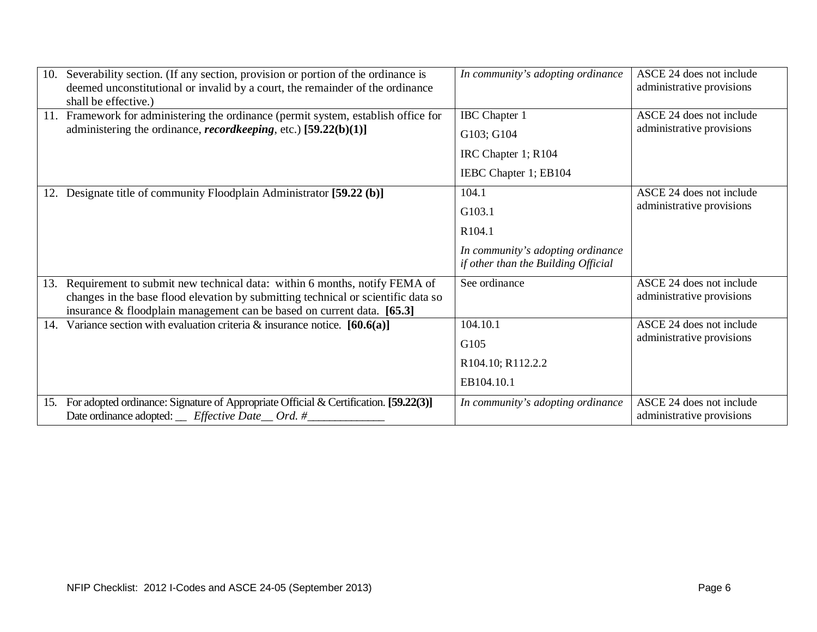| 10. | Severability section. (If any section, provision or portion of the ordinance is<br>deemed unconstitutional or invalid by a court, the remainder of the ordinance<br>shall be effective.)                                                 | In community's adopting ordinance                       | ASCE 24 does not include<br>administrative provisions |
|-----|------------------------------------------------------------------------------------------------------------------------------------------------------------------------------------------------------------------------------------------|---------------------------------------------------------|-------------------------------------------------------|
| 11. | Framework for administering the ordinance (permit system, establish office for<br>administering the ordinance, <i>recordkeeping</i> , etc.) $[59.22(b)(1)]$                                                                              | <b>IBC</b> Chapter 1<br>G103; G104                      | ASCE 24 does not include<br>administrative provisions |
|     |                                                                                                                                                                                                                                          | IRC Chapter 1; R104<br>IEBC Chapter 1; EB104            |                                                       |
|     | Designate title of community Floodplain Administrator [59.22 (b)]                                                                                                                                                                        | 104.1<br>G103.1                                         | ASCE 24 does not include<br>administrative provisions |
|     |                                                                                                                                                                                                                                          | R <sub>104.1</sub><br>In community's adopting ordinance |                                                       |
|     |                                                                                                                                                                                                                                          | if other than the Building Official                     |                                                       |
| 13. | Requirement to submit new technical data: within 6 months, notify FEMA of<br>changes in the base flood elevation by submitting technical or scientific data so<br>insurance & floodplain management can be based on current data. [65.3] | See ordinance                                           | ASCE 24 does not include<br>administrative provisions |
| 14. | Variance section with evaluation criteria & insurance notice. $[60.6(a)]$                                                                                                                                                                | 104.10.1                                                | ASCE 24 does not include<br>administrative provisions |
|     |                                                                                                                                                                                                                                          | G105<br>R104.10; R112.2.2                               |                                                       |
|     |                                                                                                                                                                                                                                          | EB104.10.1                                              |                                                       |
| 15. | For adopted ordinance: Signature of Appropriate Official & Certification. [59.22(3)]<br>Date ordinance adopted: __ Effective Date __ Ord. #_                                                                                             | In community's adopting ordinance                       | ASCE 24 does not include<br>administrative provisions |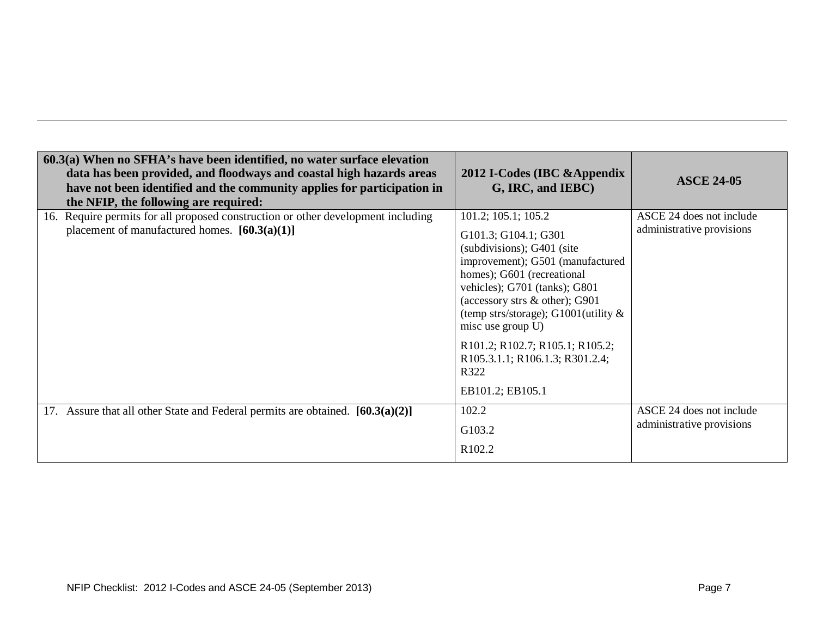| $60.3(a)$ When no SFHA's have been identified, no water surface elevation<br>data has been provided, and floodways and coastal high hazards areas<br>have not been identified and the community applies for participation in<br>the NFIP, the following are required: | 2012 I-Codes (IBC & Appendix<br>G, IRC, and IEBC)                                                                                                                                                                                                                                                                                                                                        | <b>ASCE 24-05</b>                                     |
|-----------------------------------------------------------------------------------------------------------------------------------------------------------------------------------------------------------------------------------------------------------------------|------------------------------------------------------------------------------------------------------------------------------------------------------------------------------------------------------------------------------------------------------------------------------------------------------------------------------------------------------------------------------------------|-------------------------------------------------------|
| 16. Require permits for all proposed construction or other development including<br>placement of manufactured homes. $[60.3(a)(1)]$                                                                                                                                   | $101.2$ ; $105.1$ ; $105.2$<br>G101.3; G104.1; G301<br>(subdivisions); G401 (site<br>improvement); G501 (manufactured<br>homes); G601 (recreational<br>vehicles); G701 (tanks); G801<br>(accessory strs & other); G901<br>(temp strs/storage); G1001(utility $\&$<br>misc use group U)<br>R101.2; R102.7; R105.1; R105.2;<br>R105.3.1.1; R106.1.3; R301.2.4;<br>R322<br>EB101.2; EB105.1 | ASCE 24 does not include<br>administrative provisions |
| 17. Assure that all other State and Federal permits are obtained. $[60.3(a)(2)]$                                                                                                                                                                                      | 102.2<br>G103.2<br>R102.2                                                                                                                                                                                                                                                                                                                                                                | ASCE 24 does not include<br>administrative provisions |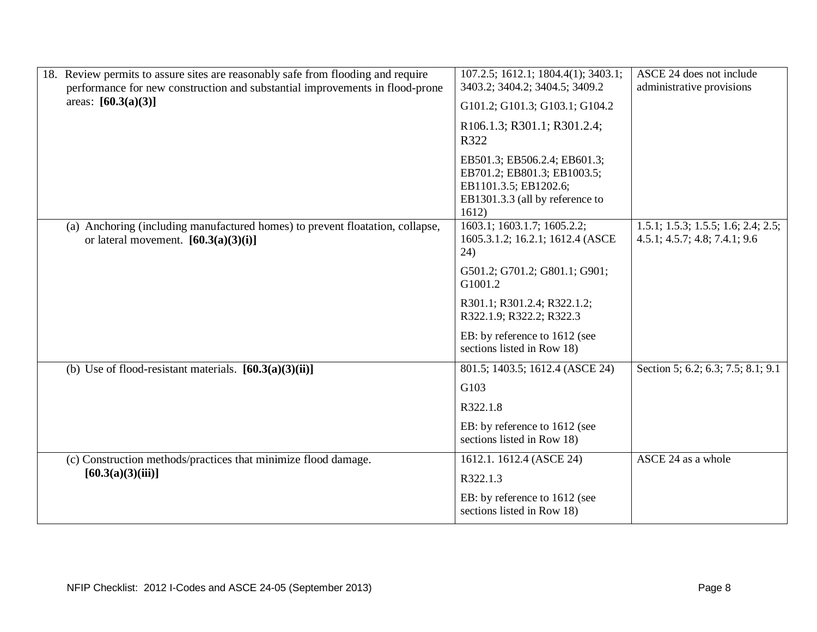| 18. Review permits to assure sites are reasonably safe from flooding and require<br>performance for new construction and substantial improvements in flood-prone<br>areas: $[60.3(a)(3)]$ | 107.2.5; 1612.1; 1804.4(1); 3403.1;<br>3403.2; 3404.2; 3404.5; 3409.2<br>G101.2; G101.3; G103.1; G104.2                          | ASCE 24 does not include<br>administrative provisions                |
|-------------------------------------------------------------------------------------------------------------------------------------------------------------------------------------------|----------------------------------------------------------------------------------------------------------------------------------|----------------------------------------------------------------------|
|                                                                                                                                                                                           | R106.1.3; R301.1; R301.2.4;<br>R322                                                                                              |                                                                      |
|                                                                                                                                                                                           | EB501.3; EB506.2.4; EB601.3;<br>EB701.2; EB801.3; EB1003.5;<br>EB1101.3.5; EB1202.6;<br>EB1301.3.3 (all by reference to<br>1612) |                                                                      |
| (a) Anchoring (including manufactured homes) to prevent floatation, collapse,<br>or lateral movement. $[60.3(a)(3)(i)]$                                                                   | 1603.1; 1603.1.7; 1605.2.2;<br>1605.3.1.2; 16.2.1; 1612.4 (ASCE<br>24)                                                           | 1.5.1; 1.5.3; 1.5.5; 1.6; 2.4; 2.5;<br>4.5.1; 4.5.7; 4.8; 7.4.1; 9.6 |
|                                                                                                                                                                                           | G501.2; G701.2; G801.1; G901;<br>G1001.2                                                                                         |                                                                      |
|                                                                                                                                                                                           | R301.1; R301.2.4; R322.1.2;<br>R322.1.9; R322.2; R322.3                                                                          |                                                                      |
|                                                                                                                                                                                           | EB: by reference to 1612 (see<br>sections listed in Row 18)                                                                      |                                                                      |
| (b) Use of flood-resistant materials. $[60.3(a)(3)(ii)]$                                                                                                                                  | 801.5; 1403.5; 1612.4 (ASCE 24)                                                                                                  | Section 5; 6.2; 6.3; 7.5; 8.1; 9.1                                   |
|                                                                                                                                                                                           | G103                                                                                                                             |                                                                      |
|                                                                                                                                                                                           | R322.1.8                                                                                                                         |                                                                      |
|                                                                                                                                                                                           | EB: by reference to 1612 (see<br>sections listed in Row 18)                                                                      |                                                                      |
| (c) Construction methods/practices that minimize flood damage.                                                                                                                            | 1612.1. 1612.4 (ASCE 24)                                                                                                         | ASCE 24 as a whole                                                   |
| [60.3(a)(3)(iii)]                                                                                                                                                                         | R322.1.3                                                                                                                         |                                                                      |
|                                                                                                                                                                                           | EB: by reference to 1612 (see<br>sections listed in Row 18)                                                                      |                                                                      |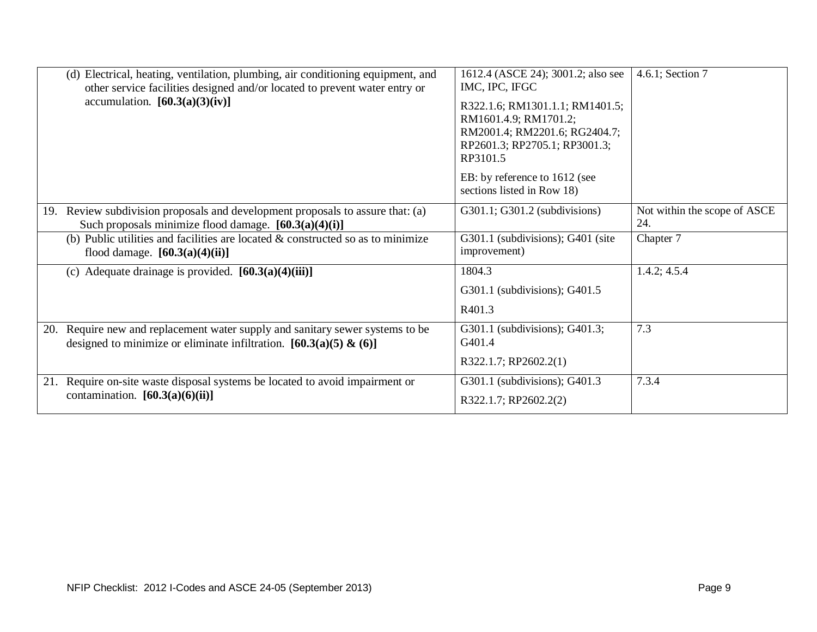|     | (d) Electrical, heating, ventilation, plumbing, air conditioning equipment, and<br>other service facilities designed and/or located to prevent water entry or<br>accumulation. $[60.3(a)(3)(iv)]$ | 1612.4 (ASCE 24); 3001.2; also see<br>IMC, IPC, IFGC<br>R322.1.6; RM1301.1.1; RM1401.5;<br>RM1601.4.9; RM1701.2;<br>RM2001.4; RM2201.6; RG2404.7;<br>RP2601.3; RP2705.1; RP3001.3;<br>RP3101.5<br>EB: by reference to 1612 (see<br>sections listed in Row 18) | 4.6.1; Section 7                    |
|-----|---------------------------------------------------------------------------------------------------------------------------------------------------------------------------------------------------|---------------------------------------------------------------------------------------------------------------------------------------------------------------------------------------------------------------------------------------------------------------|-------------------------------------|
| 19. | Review subdivision proposals and development proposals to assure that: (a)<br>Such proposals minimize flood damage. $[60.3(a)(4)(i)]$                                                             | G301.1; G301.2 (subdivisions)                                                                                                                                                                                                                                 | Not within the scope of ASCE<br>24. |
|     | (b) Public utilities and facilities are located $\&$ constructed so as to minimize<br>flood damage. $[60.3(a)(4)(ii)]$                                                                            | G301.1 (subdivisions); G401 (site<br>improvement)                                                                                                                                                                                                             | Chapter 7                           |
|     | (c) Adequate drainage is provided. $[60.3(a)(4)(iii)]$                                                                                                                                            | 1804.3                                                                                                                                                                                                                                                        | 1.4.2; 4.5.4                        |
|     |                                                                                                                                                                                                   | G301.1 (subdivisions); G401.5                                                                                                                                                                                                                                 |                                     |
|     |                                                                                                                                                                                                   | R401.3                                                                                                                                                                                                                                                        |                                     |
| 20. | Require new and replacement water supply and sanitary sewer systems to be<br>designed to minimize or eliminate infiltration. $[60.3(a)(5) \& (6)]$                                                | G301.1 (subdivisions); G401.3;<br>G401.4                                                                                                                                                                                                                      | 7.3                                 |
|     |                                                                                                                                                                                                   | R322.1.7; RP2602.2(1)                                                                                                                                                                                                                                         |                                     |
| 21. | Require on-site waste disposal systems be located to avoid impairment or                                                                                                                          | G301.1 (subdivisions); G401.3                                                                                                                                                                                                                                 | 7.3.4                               |
|     | contamination. $[60.3(a)(6)(ii)]$                                                                                                                                                                 | R322.1.7; RP2602.2(2)                                                                                                                                                                                                                                         |                                     |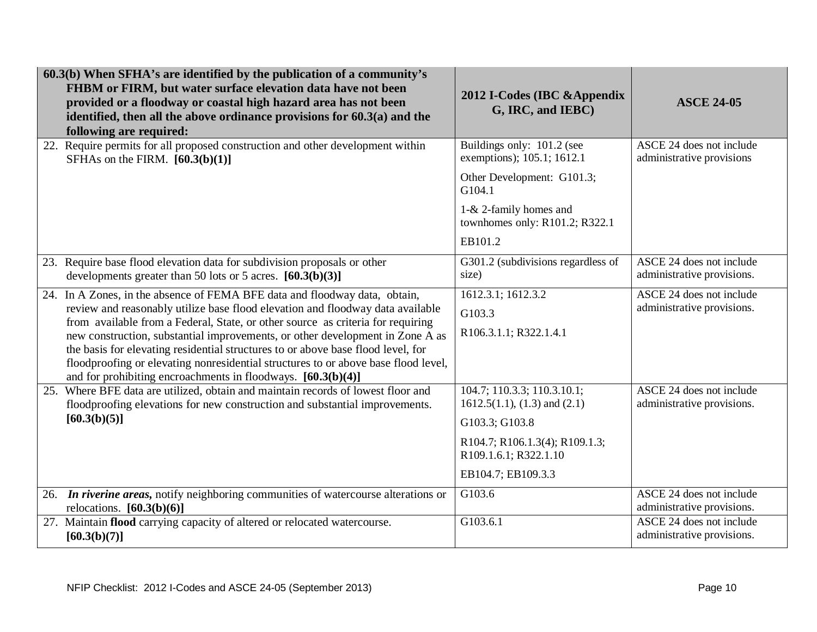| 60.3(b) When SFHA's are identified by the publication of a community's                                                                                                                                                                                                                                                  |                                                                                        |                                                        |
|-------------------------------------------------------------------------------------------------------------------------------------------------------------------------------------------------------------------------------------------------------------------------------------------------------------------------|----------------------------------------------------------------------------------------|--------------------------------------------------------|
| FHBM or FIRM, but water surface elevation data have not been<br>provided or a floodway or coastal high hazard area has not been<br>identified, then all the above ordinance provisions for $60.3(a)$ and the<br>following are required:                                                                                 | 2012 I-Codes (IBC & Appendix<br>G, IRC, and IEBC)                                      | <b>ASCE 24-05</b>                                      |
| 22. Require permits for all proposed construction and other development within<br>SFHAs on the FIRM. $[60.3(b)(1)]$                                                                                                                                                                                                     | Buildings only: 101.2 (see<br>exemptions); 105.1; 1612.1<br>Other Development: G101.3; | ASCE 24 does not include<br>administrative provisions  |
|                                                                                                                                                                                                                                                                                                                         | G104.1                                                                                 |                                                        |
|                                                                                                                                                                                                                                                                                                                         | 1-& 2-family homes and<br>townhomes only: R101.2; R322.1                               |                                                        |
|                                                                                                                                                                                                                                                                                                                         | EB101.2                                                                                |                                                        |
| 23. Require base flood elevation data for subdivision proposals or other<br>developments greater than 50 lots or 5 acres. $[60.3(b)(3)]$                                                                                                                                                                                | G301.2 (subdivisions regardless of<br>size)                                            | ASCE 24 does not include<br>administrative provisions. |
| 24. In A Zones, in the absence of FEMA BFE data and floodway data, obtain,<br>review and reasonably utilize base flood elevation and floodway data available<br>from available from a Federal, State, or other source as criteria for requiring                                                                         | 1612.3.1; 1612.3.2<br>G103.3                                                           | ASCE 24 does not include<br>administrative provisions. |
| new construction, substantial improvements, or other development in Zone A as<br>the basis for elevating residential structures to or above base flood level, for<br>floodproofing or elevating nonresidential structures to or above base flood level,<br>and for prohibiting encroachments in floodways. [60.3(b)(4)] | R106.3.1.1; R322.1.4.1                                                                 |                                                        |
| 25. Where BFE data are utilized, obtain and maintain records of lowest floor and<br>floodproofing elevations for new construction and substantial improvements.                                                                                                                                                         | 104.7; 110.3.3; 110.3.10.1;<br>$1612.5(1.1)$ , $(1.3)$ and $(2.1)$                     | ASCE 24 does not include<br>administrative provisions. |
| [60.3(b)(5)]                                                                                                                                                                                                                                                                                                            | G103.3; G103.8                                                                         |                                                        |
|                                                                                                                                                                                                                                                                                                                         | R104.7; R106.1.3(4); R109.1.3;<br>R109.1.6.1; R322.1.10                                |                                                        |
|                                                                                                                                                                                                                                                                                                                         | EB104.7; EB109.3.3                                                                     |                                                        |
| 26. In riverine areas, notify neighboring communities of watercourse alterations or<br>relocations. $[60.3(b)(6)]$                                                                                                                                                                                                      | G103.6                                                                                 | ASCE 24 does not include<br>administrative provisions. |
| 27. Maintain flood carrying capacity of altered or relocated watercourse.<br>[60.3(b)(7)]                                                                                                                                                                                                                               | G103.6.1                                                                               | ASCE 24 does not include<br>administrative provisions. |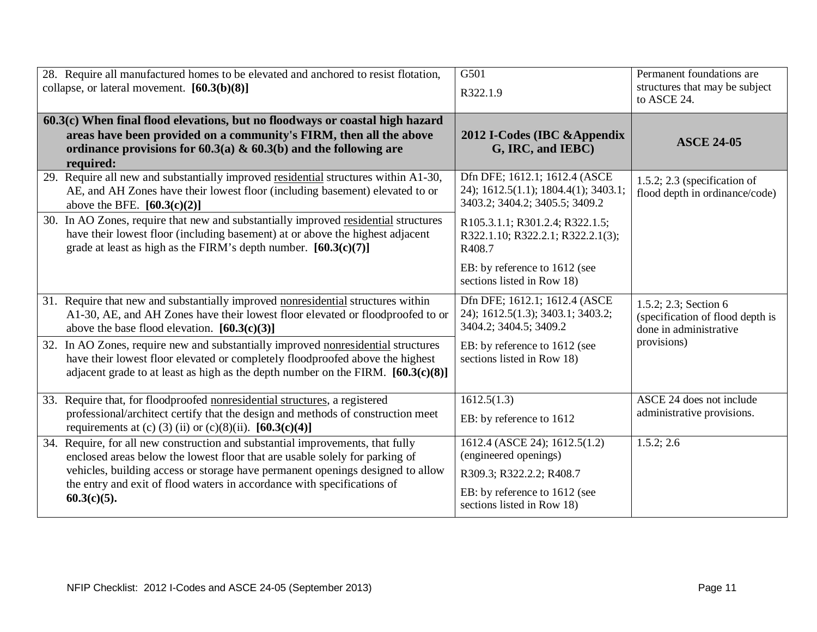| 28. Require all manufactured homes to be elevated and anchored to resist flotation,                                                                | G501                                                                   | Permanent foundations are                     |
|----------------------------------------------------------------------------------------------------------------------------------------------------|------------------------------------------------------------------------|-----------------------------------------------|
| collapse, or lateral movement. $[60.3(b)(8)]$                                                                                                      | R322.1.9                                                               | structures that may be subject<br>to ASCE 24. |
| 60.3(c) When final flood elevations, but no floodways or coastal high hazard                                                                       |                                                                        |                                               |
| areas have been provided on a community's FIRM, then all the above                                                                                 | 2012 I-Codes (IBC & Appendix                                           | <b>ASCE 24-05</b>                             |
| ordinance provisions for 60.3(a) & 60.3(b) and the following are                                                                                   | G, IRC, and IEBC)                                                      |                                               |
| required:                                                                                                                                          |                                                                        |                                               |
| 29. Require all new and substantially improved residential structures within A1-30,                                                                | Dfn DFE; 1612.1; 1612.4 (ASCE                                          | 1.5.2; 2.3 (specification of                  |
| AE, and AH Zones have their lowest floor (including basement) elevated to or                                                                       | 24); 1612.5(1.1); 1804.4(1); 3403.1;<br>3403.2; 3404.2; 3405.5; 3409.2 | flood depth in ordinance/code)                |
| above the BFE. $[60.3(c)(2)]$                                                                                                                      |                                                                        |                                               |
| In AO Zones, require that new and substantially improved residential structures<br>30.                                                             | R105.3.1.1; R301.2.4; R322.1.5;                                        |                                               |
| have their lowest floor (including basement) at or above the highest adjacent<br>grade at least as high as the FIRM's depth number. $[60.3(c)(7)]$ | R322.1.10; R322.2.1; R322.2.1(3);<br>R408.7                            |                                               |
|                                                                                                                                                    |                                                                        |                                               |
|                                                                                                                                                    | EB: by reference to 1612 (see                                          |                                               |
|                                                                                                                                                    | sections listed in Row 18)                                             |                                               |
| 31. Require that new and substantially improved nonresidential structures within                                                                   | Dfn DFE; 1612.1; 1612.4 (ASCE                                          | 1.5.2; 2.3; Section 6                         |
| A1-30, AE, and AH Zones have their lowest floor elevated or floodproofed to or                                                                     | 24); 1612.5(1.3); 3403.1; 3403.2;                                      | (specification of flood depth is              |
| above the base flood elevation. $[60.3(c)(3)]$                                                                                                     | 3404.2; 3404.5; 3409.2                                                 | done in administrative                        |
| In AO Zones, require new and substantially improved nonresidential structures<br>32.                                                               | EB: by reference to 1612 (see                                          | provisions)                                   |
| have their lowest floor elevated or completely floodproofed above the highest                                                                      | sections listed in Row 18)                                             |                                               |
| adjacent grade to at least as high as the depth number on the FIRM. $[60.3(c)(8)]$                                                                 |                                                                        |                                               |
| 33. Require that, for floodproofed nonresidential structures, a registered                                                                         | 1612.5(1.3)                                                            | ASCE 24 does not include                      |
| professional/architect certify that the design and methods of construction meet                                                                    |                                                                        | administrative provisions.                    |
| requirements at (c) (3) (ii) or (c)(8)(ii). $[60.3(c)(4)]$                                                                                         | EB: by reference to 1612                                               |                                               |
| 34. Require, for all new construction and substantial improvements, that fully                                                                     | 1612.4 (ASCE 24); 1612.5(1.2)                                          | 1.5.2; 2.6                                    |
| enclosed areas below the lowest floor that are usable solely for parking of                                                                        | (engineered openings)                                                  |                                               |
| vehicles, building access or storage have permanent openings designed to allow                                                                     | R309.3; R322.2.2; R408.7                                               |                                               |
| the entry and exit of flood waters in accordance with specifications of                                                                            | EB: by reference to 1612 (see                                          |                                               |
| $60.3(c)(5)$ .                                                                                                                                     | sections listed in Row 18)                                             |                                               |
|                                                                                                                                                    |                                                                        |                                               |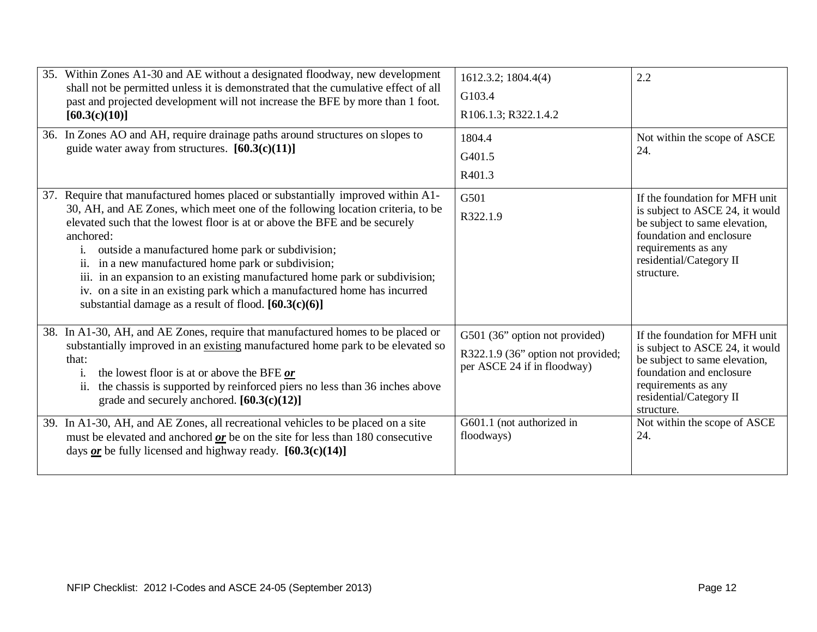| 35. Within Zones A1-30 and AE without a designated floodway, new development<br>shall not be permitted unless it is demonstrated that the cumulative effect of all<br>past and projected development will not increase the BFE by more than 1 foot.<br>[60.3(c)(10)]                                                                                                                                                                                                                                                                                                                                      | 1612.3.2; 1804.4(4)<br>G103.4<br>R106.1.3; R322.1.4.2                                                                                          | 2.2                                                                                                                                                                                                                                   |
|-----------------------------------------------------------------------------------------------------------------------------------------------------------------------------------------------------------------------------------------------------------------------------------------------------------------------------------------------------------------------------------------------------------------------------------------------------------------------------------------------------------------------------------------------------------------------------------------------------------|------------------------------------------------------------------------------------------------------------------------------------------------|---------------------------------------------------------------------------------------------------------------------------------------------------------------------------------------------------------------------------------------|
| 36. In Zones AO and AH, require drainage paths around structures on slopes to<br>guide water away from structures. $[60.3(c)(11)]$                                                                                                                                                                                                                                                                                                                                                                                                                                                                        | 1804.4<br>G401.5<br>R401.3                                                                                                                     | Not within the scope of ASCE<br>24.                                                                                                                                                                                                   |
| 37. Require that manufactured homes placed or substantially improved within A1-<br>30, AH, and AE Zones, which meet one of the following location criteria, to be<br>elevated such that the lowest floor is at or above the BFE and be securely<br>anchored:<br>outside a manufactured home park or subdivision;<br>i.<br>ii. in a new manufactured home park or subdivision;<br>iii. in an expansion to an existing manufactured home park or subdivision;<br>iv. on a site in an existing park which a manufactured home has incurred<br>substantial damage as a result of flood. $[60.3(c)(6)]$        | G501<br>R322.1.9                                                                                                                               | If the foundation for MFH unit<br>is subject to ASCE 24, it would<br>be subject to same elevation,<br>foundation and enclosure<br>requirements as any<br>residential/Category II<br>structure.                                        |
| 38. In A1-30, AH, and AE Zones, require that manufactured homes to be placed or<br>substantially improved in an existing manufactured home park to be elevated so<br>that:<br>the lowest floor is at or above the BFE or<br>1.<br>the chassis is supported by reinforced piers no less than 36 inches above<br>ii.<br>grade and securely anchored. $[60.3(c)(12)]$<br>39. In A1-30, AH, and AE Zones, all recreational vehicles to be placed on a site<br>must be elevated and anchored $or$ be on the site for less than 180 consecutive<br>days $or$ be fully licensed and highway ready. [60.3(c)(14)] | G501 (36" option not provided)<br>R322.1.9 (36" option not provided;<br>per ASCE 24 if in floodway)<br>G601.1 (not authorized in<br>floodways) | If the foundation for MFH unit<br>is subject to ASCE 24, it would<br>be subject to same elevation,<br>foundation and enclosure<br>requirements as any<br>residential/Category II<br>structure.<br>Not within the scope of ASCE<br>24. |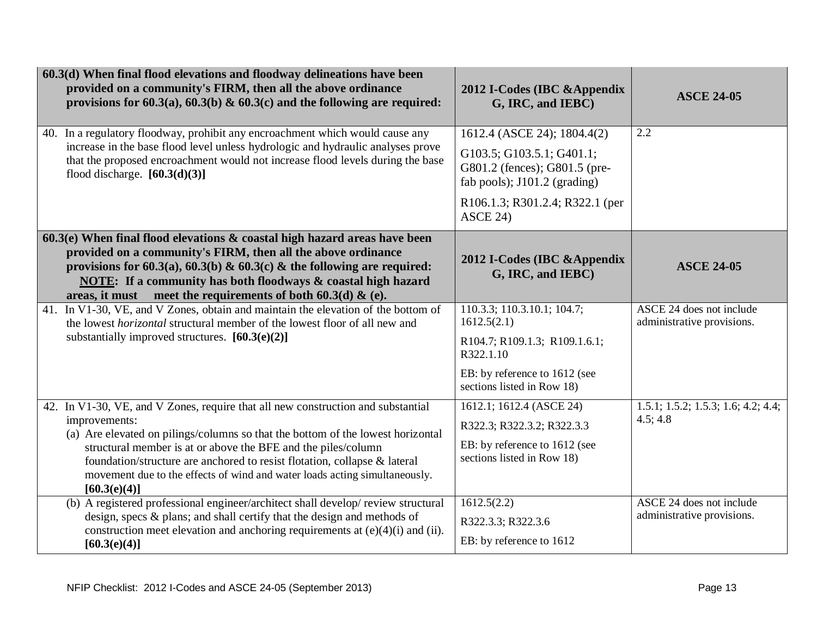| 60.3(d) When final flood elevations and floodway delineations have been<br>provided on a community's FIRM, then all the above ordinance<br>provisions for 60.3(a), 60.3(b) & 60.3(c) and the following are required:                                                                                                                                        | 2012 I-Codes (IBC & Appendix<br>G, IRC, and IEBC)                                          | <b>ASCE 24-05</b>                                      |
|-------------------------------------------------------------------------------------------------------------------------------------------------------------------------------------------------------------------------------------------------------------------------------------------------------------------------------------------------------------|--------------------------------------------------------------------------------------------|--------------------------------------------------------|
| In a regulatory floodway, prohibit any encroachment which would cause any<br>40.<br>increase in the base flood level unless hydrologic and hydraulic analyses prove                                                                                                                                                                                         | 1612.4 (ASCE 24); 1804.4(2)                                                                | 2.2                                                    |
| that the proposed encroachment would not increase flood levels during the base<br>flood discharge. $[60.3(d)(3)]$                                                                                                                                                                                                                                           | G103.5; G103.5.1; G401.1;<br>G801.2 (fences); G801.5 (pre-<br>fab pools); J101.2 (grading) |                                                        |
|                                                                                                                                                                                                                                                                                                                                                             | R106.1.3; R301.2.4; R322.1 (per<br>ASCE 24)                                                |                                                        |
| $60.3(e)$ When final flood elevations $\&$ coastal high hazard areas have been<br>provided on a community's FIRM, then all the above ordinance<br>provisions for 60.3(a), 60.3(b) & 60.3(c) & the following are required:<br>NOTE: If a community has both floodways & coastal high hazard<br>areas, it must meet the requirements of both $60.3(d)$ & (e). | 2012 I-Codes (IBC & Appendix<br>G, IRC, and IEBC)                                          | <b>ASCE 24-05</b>                                      |
| In V1-30, VE, and V Zones, obtain and maintain the elevation of the bottom of<br>41.<br>the lowest <i>horizontal</i> structural member of the lowest floor of all new and                                                                                                                                                                                   | 110.3.3; 110.3.10.1; 104.7;<br>1612.5(2.1)                                                 | ASCE 24 does not include<br>administrative provisions. |
| substantially improved structures. $[60.3(e)(2)]$                                                                                                                                                                                                                                                                                                           | R104.7; R109.1.3; R109.1.6.1;<br>R322.1.10                                                 |                                                        |
|                                                                                                                                                                                                                                                                                                                                                             | EB: by reference to 1612 (see<br>sections listed in Row 18)                                |                                                        |
| 42. In V1-30, VE, and V Zones, require that all new construction and substantial                                                                                                                                                                                                                                                                            | 1612.1; 1612.4 (ASCE 24)                                                                   | 1.5.1; 1.5.2; 1.5.3; 1.6; 4.2; 4.4;                    |
| improvements:<br>(a) Are elevated on pilings/columns so that the bottom of the lowest horizontal                                                                                                                                                                                                                                                            | R322.3; R322.3.2; R322.3.3                                                                 | 4.5; 4.8                                               |
| structural member is at or above the BFE and the piles/column<br>foundation/structure are anchored to resist flotation, collapse & lateral<br>movement due to the effects of wind and water loads acting simultaneously.<br>[60.3(e)(4)]                                                                                                                    | EB: by reference to 1612 (see<br>sections listed in Row 18)                                |                                                        |
| (b) A registered professional engineer/architect shall develop/ review structural                                                                                                                                                                                                                                                                           | 1612.5(2.2)                                                                                | ASCE 24 does not include<br>administrative provisions. |
| design, specs $\&$ plans; and shall certify that the design and methods of<br>construction meet elevation and anchoring requirements at $(e)(4)(i)$ and $(ii)$ .<br>[60.3(e)(4)]                                                                                                                                                                            | R322.3.3; R322.3.6<br>EB: by reference to 1612                                             |                                                        |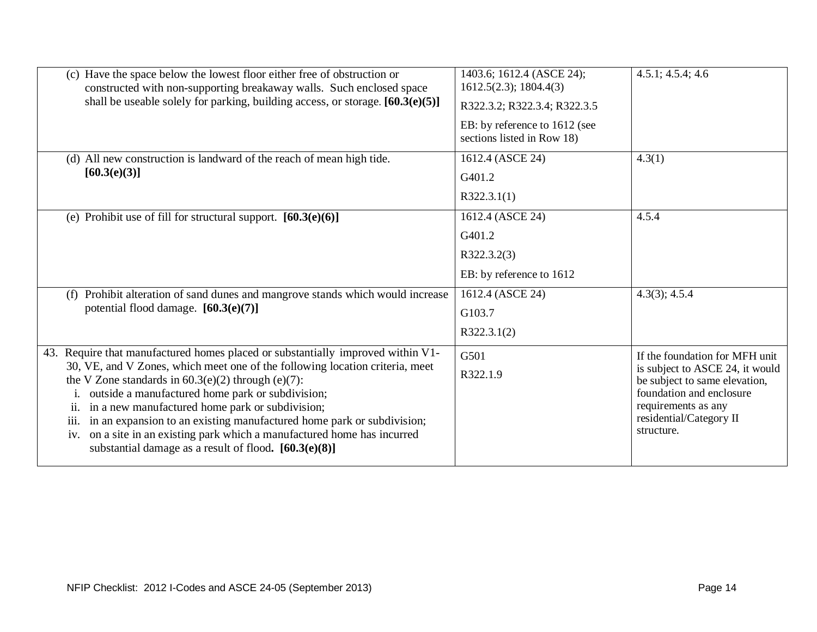| (c) Have the space below the lowest floor either free of obstruction or<br>constructed with non-supporting breakaway walls. Such enclosed space              | 1403.6; 1612.4 (ASCE 24);<br>1612.5(2.3); 1804.4(3)         | 4.5.1; 4.5.4; 4.6                                                |
|--------------------------------------------------------------------------------------------------------------------------------------------------------------|-------------------------------------------------------------|------------------------------------------------------------------|
| shall be useable solely for parking, building access, or storage. $[60.3(e)(5)]$                                                                             | R322.3.2; R322.3.4; R322.3.5                                |                                                                  |
|                                                                                                                                                              | EB: by reference to 1612 (see<br>sections listed in Row 18) |                                                                  |
| (d) All new construction is landward of the reach of mean high tide.                                                                                         | 1612.4 (ASCE 24)                                            | 4.3(1)                                                           |
| [60.3(e)(3)]                                                                                                                                                 | G401.2                                                      |                                                                  |
|                                                                                                                                                              | R322.3.1(1)                                                 |                                                                  |
| (e) Prohibit use of fill for structural support. $[60.3(e)(6)]$                                                                                              | 1612.4 (ASCE 24)                                            | 4.5.4                                                            |
|                                                                                                                                                              | G401.2                                                      |                                                                  |
|                                                                                                                                                              | R322.3.2(3)                                                 |                                                                  |
|                                                                                                                                                              | EB: by reference to 1612                                    |                                                                  |
| Prohibit alteration of sand dunes and mangrove stands which would increase<br>(f)                                                                            | 1612.4 (ASCE 24)                                            | 4.3(3); 4.5.4                                                    |
| potential flood damage. [60.3(e)(7)]                                                                                                                         | G103.7                                                      |                                                                  |
|                                                                                                                                                              | R322.3.1(2)                                                 |                                                                  |
| 43. Require that manufactured homes placed or substantially improved within V1-                                                                              | G501                                                        | If the foundation for MFH unit                                   |
| 30, VE, and V Zones, which meet one of the following location criteria, meet<br>the V Zone standards in $60.3(e)(2)$ through $(e)(7)$ :                      | R322.1.9                                                    | is subject to ASCE 24, it would<br>be subject to same elevation, |
| outside a manufactured home park or subdivision;                                                                                                             |                                                             | foundation and enclosure                                         |
| in a new manufactured home park or subdivision;<br>$\overline{\mathbf{u}}$ .                                                                                 |                                                             | requirements as any<br>residential/Category II                   |
| in an expansion to an existing manufactured home park or subdivision;<br>111.<br>on a site in an existing park which a manufactured home has incurred<br>1V. |                                                             | structure.                                                       |
| substantial damage as a result of flood. $[60.3(e)(8)]$                                                                                                      |                                                             |                                                                  |
|                                                                                                                                                              |                                                             |                                                                  |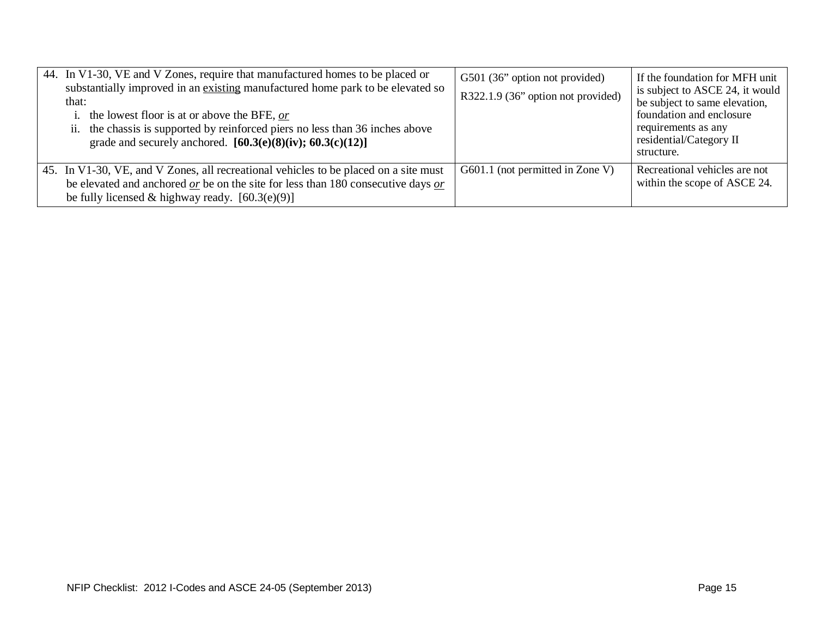| 44. In V1-30, VE and V Zones, require that manufactured homes to be placed or<br>substantially improved in an existing manufactured home park to be elevated so<br>that:<br>i. the lowest floor is at or above the BFE, $or$<br>ii. the chassis is supported by reinforced piers no less than 36 inches above<br>grade and securely anchored. $[60.3(e)(8)(iv); 60.3(c)(12)]$ | G501 (36" option not provided)<br>R322.1.9 (36" option not provided) | If the foundation for MFH unit<br>is subject to ASCE 24, it would<br>be subject to same elevation,<br>foundation and enclosure<br>requirements as any<br>residential/Category II<br>structure. |
|-------------------------------------------------------------------------------------------------------------------------------------------------------------------------------------------------------------------------------------------------------------------------------------------------------------------------------------------------------------------------------|----------------------------------------------------------------------|------------------------------------------------------------------------------------------------------------------------------------------------------------------------------------------------|
| 45. In V1-30, VE, and V Zones, all recreational vehicles to be placed on a site must<br>be elevated and anchored $\sigma r$ be on the site for less than 180 consecutive days $\sigma r$<br>be fully licensed & highway ready. $[60.3(e)(9)]$                                                                                                                                 | G601.1 (not permitted in Zone V)                                     | Recreational vehicles are not<br>within the scope of ASCE 24.                                                                                                                                  |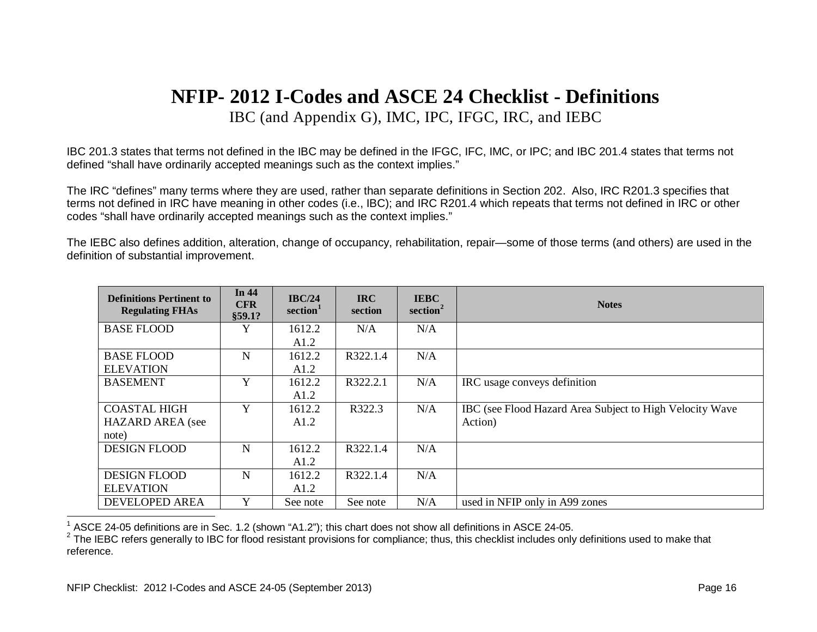## <span id="page-15-1"></span><span id="page-15-0"></span>**NFIP- 2012 I-Codes and ASCE 24 Checklist - Definitions** IBC (and Appendix G), IMC, IPC, IFGC, IRC, and IEBC

IBC 201.3 states that terms not defined in the IBC may be defined in the IFGC, IFC, IMC, or IPC; and IBC 201.4 states that terms not defined "shall have ordinarily accepted meanings such as the context implies."

The IRC "defines" many terms where they are used, rather than separate definitions in Section 202. Also, IRC R201.3 specifies that terms not defined in IRC have meaning in other codes (i.e., IBC); and IRC R201.4 which repeats that terms not defined in IRC or other codes "shall have ordinarily accepted meanings such as the context implies."

The IEBC also defines addition, alteration, change of occupancy, rehabilitation, repair—some of those terms (and others) are used in the definition of substantial improvement.

| <b>Definitions Pertinent to</b><br><b>Regulating FHAs</b> | In 44<br><b>CFR</b><br>\$59.1? | IBC/24<br>section <sup>1</sup> | <b>IRC</b><br>section | <b>IEBC</b><br>section <sup>2</sup> | <b>Notes</b>                                             |
|-----------------------------------------------------------|--------------------------------|--------------------------------|-----------------------|-------------------------------------|----------------------------------------------------------|
| <b>BASE FLOOD</b>                                         | Y                              | 1612.2                         | N/A                   | N/A                                 |                                                          |
|                                                           |                                | A1.2                           |                       |                                     |                                                          |
| <b>BASE FLOOD</b>                                         | N                              | 1612.2                         | R322.1.4              | N/A                                 |                                                          |
| <b>ELEVATION</b>                                          |                                | A1.2                           |                       |                                     |                                                          |
| <b>BASEMENT</b>                                           | Y                              | 1612.2                         | R322.2.1              | N/A                                 | IRC usage conveys definition                             |
|                                                           |                                | A1.2                           |                       |                                     |                                                          |
| <b>COASTAL HIGH</b>                                       | Y                              | 1612.2                         | R322.3                | N/A                                 | IBC (see Flood Hazard Area Subject to High Velocity Wave |
| <b>HAZARD AREA</b> (see                                   |                                | A1.2                           |                       |                                     | Action)                                                  |
| note)                                                     |                                |                                |                       |                                     |                                                          |
| <b>DESIGN FLOOD</b>                                       | N                              | 1612.2                         | R322.1.4              | N/A                                 |                                                          |
|                                                           |                                | A1.2                           |                       |                                     |                                                          |
| <b>DESIGN FLOOD</b>                                       | N                              | 1612.2                         | R322.1.4              | N/A                                 |                                                          |
| <b>ELEVATION</b>                                          |                                | A1.2                           |                       |                                     |                                                          |
| <b>DEVELOPED AREA</b>                                     | Y                              | See note                       | See note              | N/A                                 | used in NFIP only in A99 zones                           |

 $1$  ASCE 24-05 definitions are in Sec. 1.2 (shown "A1.2"); this chart does not show all definitions in ASCE 24-05.

 $^{2}$  The IEBC refers generally to IBC for flood resistant provisions for compliance; thus, this checklist includes only definitions used to make that reference.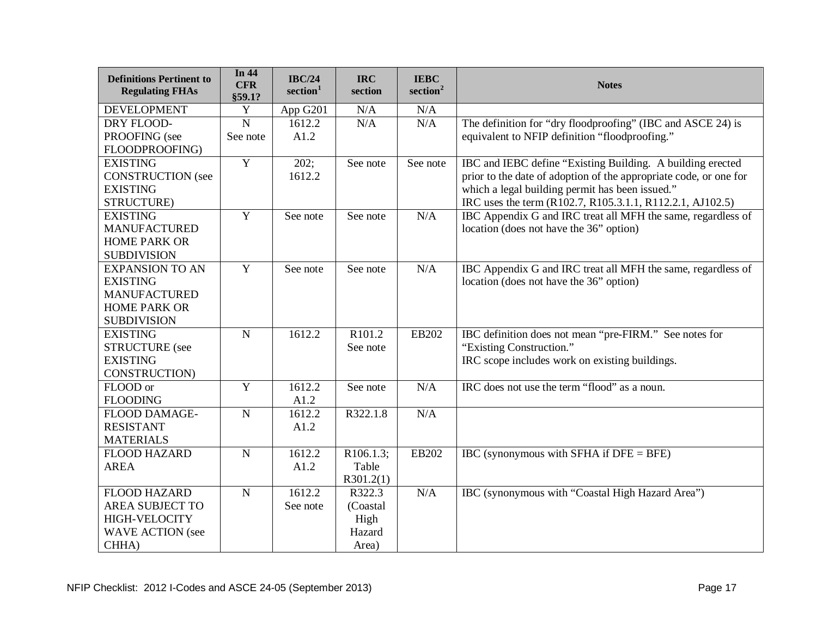| <b>Definitions Pertinent to</b><br><b>Regulating FHAs</b> | In 44<br><b>CFR</b><br>§59.1? | <b>IBC/24</b><br>section <sup>1</sup> | <b>IRC</b><br>section | <b>IEBC</b><br>section <sup>2</sup> | <b>Notes</b>                                                      |
|-----------------------------------------------------------|-------------------------------|---------------------------------------|-----------------------|-------------------------------------|-------------------------------------------------------------------|
| <b>DEVELOPMENT</b>                                        | Y                             | App G201                              | N/A                   | N/A                                 |                                                                   |
| DRY FLOOD-                                                | $\overline{N}$                | 1612.2                                | N/A                   | N/A                                 | The definition for "dry floodproofing" (IBC and ASCE 24) is       |
| PROOFING (see                                             | See note                      | A1.2                                  |                       |                                     | equivalent to NFIP definition "floodproofing."                    |
| FLOODPROOFING)                                            |                               |                                       |                       |                                     |                                                                   |
| <b>EXISTING</b>                                           | Y                             | 202;                                  | See note              | See note                            | IBC and IEBC define "Existing Building. A building erected        |
| <b>CONSTRUCTION</b> (see                                  |                               | 1612.2                                |                       |                                     | prior to the date of adoption of the appropriate code, or one for |
| <b>EXISTING</b>                                           |                               |                                       |                       |                                     | which a legal building permit has been issued."                   |
| STRUCTURE)                                                |                               |                                       |                       |                                     | IRC uses the term (R102.7, R105.3.1.1, R112.2.1, AJ102.5)         |
| <b>EXISTING</b>                                           | Y                             | See note                              | See note              | N/A                                 | IBC Appendix G and IRC treat all MFH the same, regardless of      |
| <b>MANUFACTURED</b>                                       |                               |                                       |                       |                                     | location (does not have the 36" option)                           |
| <b>HOME PARK OR</b>                                       |                               |                                       |                       |                                     |                                                                   |
| <b>SUBDIVISION</b>                                        |                               |                                       |                       |                                     |                                                                   |
| <b>EXPANSION TO AN</b>                                    | Y                             | See note                              | See note              | N/A                                 | IBC Appendix G and IRC treat all MFH the same, regardless of      |
| <b>EXISTING</b>                                           |                               |                                       |                       |                                     | location (does not have the 36" option)                           |
| <b>MANUFACTURED</b>                                       |                               |                                       |                       |                                     |                                                                   |
| <b>HOME PARK OR</b>                                       |                               |                                       |                       |                                     |                                                                   |
| <b>SUBDIVISION</b>                                        |                               |                                       |                       |                                     |                                                                   |
| <b>EXISTING</b>                                           | $\mathbf N$                   | 1612.2                                | R <sub>101.2</sub>    | EB202                               | IBC definition does not mean "pre-FIRM." See notes for            |
| <b>STRUCTURE</b> (see                                     |                               |                                       | See note              |                                     | "Existing Construction."                                          |
| <b>EXISTING</b>                                           |                               |                                       |                       |                                     | IRC scope includes work on existing buildings.                    |
| CONSTRUCTION)                                             |                               |                                       |                       |                                     |                                                                   |
| FLOOD or                                                  | Y                             | 1612.2                                | See note              | N/A                                 | IRC does not use the term "flood" as a noun.                      |
| <b>FLOODING</b>                                           |                               | A1.2                                  |                       |                                     |                                                                   |
| FLOOD DAMAGE-                                             | $\overline{N}$                | 1612.2                                | R322.1.8              | N/A                                 |                                                                   |
| <b>RESISTANT</b>                                          |                               | A1.2                                  |                       |                                     |                                                                   |
| <b>MATERIALS</b>                                          |                               |                                       |                       |                                     |                                                                   |
| <b>FLOOD HAZARD</b>                                       | $\mathbf N$                   | 1612.2                                | R106.1.3;             | EB202                               | IBC (synonymous with SFHA if $DFE = BFE$ )                        |
| <b>AREA</b>                                               |                               | A1.2                                  | Table                 |                                     |                                                                   |
|                                                           |                               |                                       | R301.2(1)             |                                     |                                                                   |
| <b>FLOOD HAZARD</b>                                       | $\overline{N}$                | 1612.2                                | R322.3                | N/A                                 | IBC (synonymous with "Coastal High Hazard Area")                  |
| <b>AREA SUBJECT TO</b>                                    |                               | See note                              | (Coastal              |                                     |                                                                   |
| <b>HIGH-VELOCITY</b>                                      |                               |                                       | High                  |                                     |                                                                   |
| <b>WAVE ACTION</b> (see                                   |                               |                                       | Hazard                |                                     |                                                                   |
| CHHA)                                                     |                               |                                       | Area)                 |                                     |                                                                   |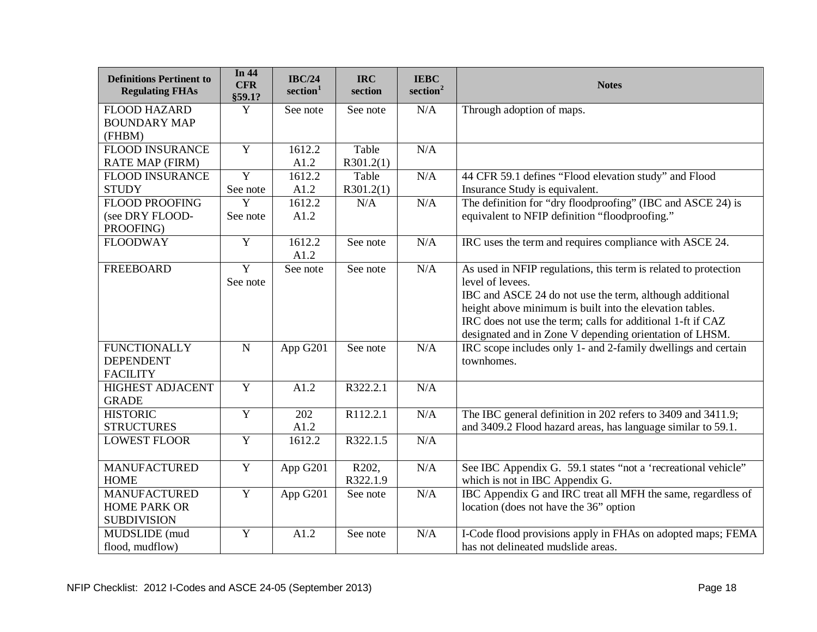| <b>Definitions Pertinent to</b><br><b>Regulating FHAs</b> | In 44<br><b>CFR</b><br>\$59.1? | <b>IBC/24</b><br>section <sup>1</sup> | <b>IRC</b><br>section | <b>IEBC</b><br>section <sup>2</sup> | <b>Notes</b>                                                    |
|-----------------------------------------------------------|--------------------------------|---------------------------------------|-----------------------|-------------------------------------|-----------------------------------------------------------------|
| <b>FLOOD HAZARD</b>                                       | $\overline{Y}$                 | See note                              | See note              | N/A                                 | Through adoption of maps.                                       |
| <b>BOUNDARY MAP</b>                                       |                                |                                       |                       |                                     |                                                                 |
| (FHBM)                                                    |                                |                                       |                       |                                     |                                                                 |
| <b>FLOOD INSURANCE</b>                                    | Y                              | 1612.2                                | Table                 | N/A                                 |                                                                 |
| <b>RATE MAP (FIRM)</b>                                    |                                | A1.2                                  | R301.2(1)             |                                     |                                                                 |
| <b>FLOOD INSURANCE</b>                                    | $\overline{Y}$                 | 1612.2                                | Table                 | N/A                                 | 44 CFR 59.1 defines "Flood elevation study" and Flood           |
| <b>STUDY</b>                                              | See note                       | A1.2                                  | R301.2(1)             |                                     | Insurance Study is equivalent.                                  |
| <b>FLOOD PROOFING</b>                                     | $\overline{Y}$                 | 1612.2                                | N/A                   | N/A                                 | The definition for "dry floodproofing" (IBC and ASCE 24) is     |
| (see DRY FLOOD-                                           | See note                       | A1.2                                  |                       |                                     | equivalent to NFIP definition "floodproofing."                  |
| PROOFING)                                                 |                                |                                       |                       |                                     |                                                                 |
| <b>FLOODWAY</b>                                           | Y                              | 1612.2<br>A1.2                        | See note              | N/A                                 | IRC uses the term and requires compliance with ASCE 24.         |
| <b>FREEBOARD</b>                                          | $\overline{Y}$                 | See note                              | See note              | N/A                                 | As used in NFIP regulations, this term is related to protection |
|                                                           | See note                       |                                       |                       |                                     | level of levees.                                                |
|                                                           |                                |                                       |                       |                                     | IBC and ASCE 24 do not use the term, although additional        |
|                                                           |                                |                                       |                       |                                     | height above minimum is built into the elevation tables.        |
|                                                           |                                |                                       |                       |                                     | IRC does not use the term; calls for additional 1-ft if CAZ     |
|                                                           |                                |                                       |                       |                                     | designated and in Zone V depending orientation of LHSM.         |
| <b>FUNCTIONALLY</b>                                       | $\mathbf N$                    | App G201                              | See note              | N/A                                 | IRC scope includes only 1- and 2-family dwellings and certain   |
| <b>DEPENDENT</b>                                          |                                |                                       |                       |                                     | townhomes.                                                      |
| <b>FACILITY</b>                                           |                                |                                       |                       |                                     |                                                                 |
| <b>HIGHEST ADJACENT</b>                                   | Y                              | A1.2                                  | R322.2.1              | N/A                                 |                                                                 |
| <b>GRADE</b>                                              |                                |                                       |                       |                                     |                                                                 |
| <b>HISTORIC</b>                                           | $\overline{Y}$                 | 202                                   | R112.2.1              | N/A                                 | The IBC general definition in 202 refers to 3409 and 3411.9;    |
| <b>STRUCTURES</b>                                         |                                | A1.2                                  |                       |                                     | and 3409.2 Flood hazard areas, has language similar to 59.1.    |
| <b>LOWEST FLOOR</b>                                       | $\overline{Y}$                 | 1612.2                                | R322.1.5              | N/A                                 |                                                                 |
|                                                           |                                |                                       |                       |                                     |                                                                 |
| <b>MANUFACTURED</b>                                       | $\mathbf Y$                    | App G201                              | R202,                 | N/A                                 | See IBC Appendix G. 59.1 states "not a 'recreational vehicle"   |
| <b>HOME</b>                                               |                                |                                       | R322.1.9              |                                     | which is not in IBC Appendix G.                                 |
| <b>MANUFACTURED</b>                                       | Y                              | App G201                              | See note              | N/A                                 | IBC Appendix G and IRC treat all MFH the same, regardless of    |
| <b>HOME PARK OR</b>                                       |                                |                                       |                       |                                     | location (does not have the 36" option                          |
| <b>SUBDIVISION</b>                                        |                                |                                       |                       |                                     |                                                                 |
| MUDSLIDE (mud                                             | $\overline{Y}$                 | A1.2                                  | See note              | N/A                                 | I-Code flood provisions apply in FHAs on adopted maps; FEMA     |
| flood, mudflow)                                           |                                |                                       |                       |                                     | has not delineated mudslide areas.                              |